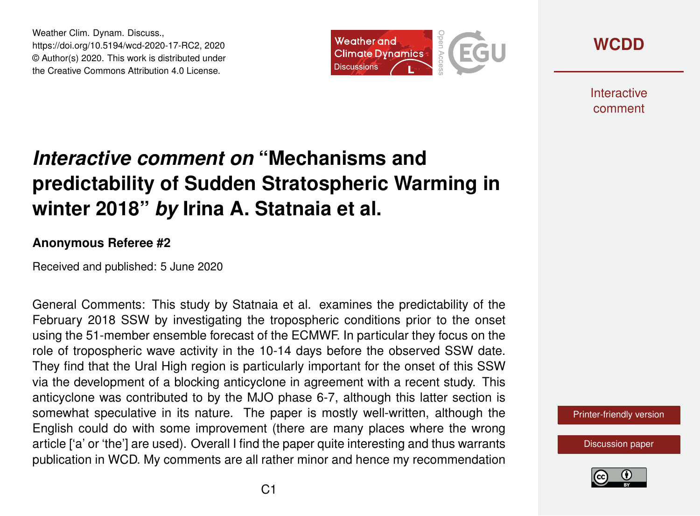Weather Clim. Dynam. Discuss., https://doi.org/10.5194/wcd-2020-17-RC2, 2020 © Author(s) 2020. This work is distributed under the Creative Commons Attribution 4.0 License.



**[WCDD](https://wcd.copernicus.org/preprints/)**

**Interactive** comment

# *Interactive comment on* **"Mechanisms and predictability of Sudden Stratospheric Warming in winter 2018"** *by* **Irina A. Statnaia et al.**

#### **Anonymous Referee #2**

Received and published: 5 June 2020

General Comments: This study by Statnaia et al. examines the predictability of the February 2018 SSW by investigating the tropospheric conditions prior to the onset using the 51-member ensemble forecast of the ECMWF. In particular they focus on the role of tropospheric wave activity in the 10-14 days before the observed SSW date. They find that the Ural High region is particularly important for the onset of this SSW via the development of a blocking anticyclone in agreement with a recent study. This anticyclone was contributed to by the MJO phase 6-7, although this latter section is somewhat speculative in its nature. The paper is mostly well-written, although the English could do with some improvement (there are many places where the wrong article ['a' or 'the'] are used). Overall I find the paper quite interesting and thus warrants publication in WCD. My comments are all rather minor and hence my recommendation

[Printer-friendly version](https://wcd.copernicus.org/preprints/wcd-2020-17/wcd-2020-17-RC2-print.pdf)

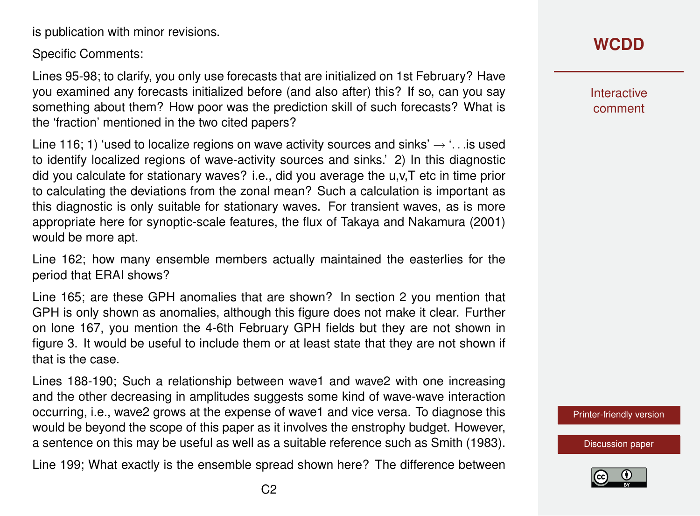is publication with minor revisions.

Specific Comments:

Lines 95-98; to clarify, you only use forecasts that are initialized on 1st February? Have you examined any forecasts initialized before (and also after) this? If so, can you say something about them? How poor was the prediction skill of such forecasts? What is the 'fraction' mentioned in the two cited papers?

Line 116; 1) 'used to localize regions on wave activity sources and sinks'  $\rightarrow$  '... is used to identify localized regions of wave-activity sources and sinks.' 2) In this diagnostic did you calculate for stationary waves? i.e., did you average the u,v,T etc in time prior to calculating the deviations from the zonal mean? Such a calculation is important as this diagnostic is only suitable for stationary waves. For transient waves, as is more appropriate here for synoptic-scale features, the flux of Takaya and Nakamura (2001) would be more apt.

Line 162; how many ensemble members actually maintained the easterlies for the period that ERAI shows?

Line 165; are these GPH anomalies that are shown? In section 2 you mention that GPH is only shown as anomalies, although this figure does not make it clear. Further on lone 167, you mention the 4-6th February GPH fields but they are not shown in figure 3. It would be useful to include them or at least state that they are not shown if that is the case.

Lines 188-190; Such a relationship between wave1 and wave2 with one increasing and the other decreasing in amplitudes suggests some kind of wave-wave interaction occurring, i.e., wave2 grows at the expense of wave1 and vice versa. To diagnose this would be beyond the scope of this paper as it involves the enstrophy budget. However, a sentence on this may be useful as well as a suitable reference such as Smith (1983).

Line 199; What exactly is the ensemble spread shown here? The difference between

### **[WCDD](https://wcd.copernicus.org/preprints/)**

Interactive comment

[Printer-friendly version](https://wcd.copernicus.org/preprints/wcd-2020-17/wcd-2020-17-RC2-print.pdf)

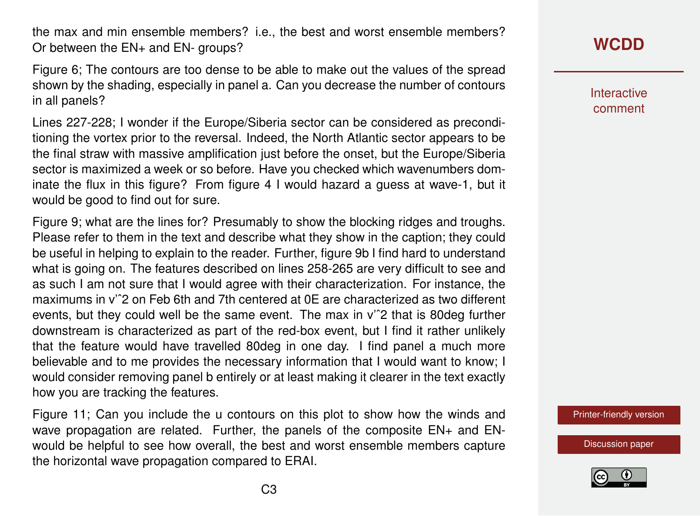the max and min ensemble members? i.e., the best and worst ensemble members? Or between the EN+ and EN- groups?

Figure 6; The contours are too dense to be able to make out the values of the spread shown by the shading, especially in panel a. Can you decrease the number of contours in all panels?

Lines 227-228; I wonder if the Europe/Siberia sector can be considered as preconditioning the vortex prior to the reversal. Indeed, the North Atlantic sector appears to be the final straw with massive amplification just before the onset, but the Europe/Siberia sector is maximized a week or so before. Have you checked which wavenumbers dominate the flux in this figure? From figure 4 I would hazard a guess at wave-1, but it would be good to find out for sure.

Figure 9; what are the lines for? Presumably to show the blocking ridges and troughs. Please refer to them in the text and describe what they show in the caption; they could be useful in helping to explain to the reader. Further, figure 9b I find hard to understand what is going on. The features described on lines 258-265 are very difficult to see and as such I am not sure that I would agree with their characterization. For instance, the maximums in v'ˆ2 on Feb 6th and 7th centered at 0E are characterized as two different events, but they could well be the same event. The max in v'ˆ2 that is 80deg further downstream is characterized as part of the red-box event, but I find it rather unlikely that the feature would have travelled 80deg in one day. I find panel a much more believable and to me provides the necessary information that I would want to know; I would consider removing panel b entirely or at least making it clearer in the text exactly how you are tracking the features.

Figure 11; Can you include the u contours on this plot to show how the winds and wave propagation are related. Further, the panels of the composite EN+ and ENwould be helpful to see how overall, the best and worst ensemble members capture the horizontal wave propagation compared to ERAI.

## **[WCDD](https://wcd.copernicus.org/preprints/)**

**Interactive** comment

[Printer-friendly version](https://wcd.copernicus.org/preprints/wcd-2020-17/wcd-2020-17-RC2-print.pdf)

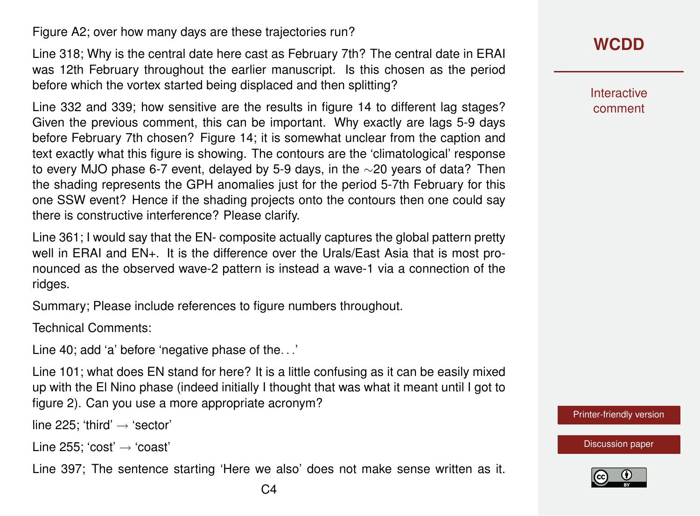Figure A2; over how many days are these trajectories run?

Line 318; Why is the central date here cast as February 7th? The central date in ERAI was 12th February throughout the earlier manuscript. Is this chosen as the period before which the vortex started being displaced and then splitting?

Line 332 and 339; how sensitive are the results in figure 14 to different lag stages? Given the previous comment, this can be important. Why exactly are lags 5-9 days before February 7th chosen? Figure 14; it is somewhat unclear from the caption and text exactly what this figure is showing. The contours are the 'climatological' response to every MJO phase 6-7 event, delayed by 5-9 days, in the ∼20 years of data? Then the shading represents the GPH anomalies just for the period 5-7th February for this one SSW event? Hence if the shading projects onto the contours then one could say there is constructive interference? Please clarify.

Line 361; I would say that the EN- composite actually captures the global pattern pretty well in ERAI and EN+. It is the difference over the Urals/East Asia that is most pronounced as the observed wave-2 pattern is instead a wave-1 via a connection of the ridges.

Summary; Please include references to figure numbers throughout.

Technical Comments:

Line 40; add 'a' before 'negative phase of the. . .'

Line 101; what does EN stand for here? It is a little confusing as it can be easily mixed up with the El Nino phase (indeed initially I thought that was what it meant until I got to figure 2). Can you use a more appropriate acronym?

line 225: 'third'  $\rightarrow$  'sector'

Line 255; 'cost'  $\rightarrow$  'coast'

Line 397; The sentence starting 'Here we also' does not make sense written as it.

**Interactive** comment

[Printer-friendly version](https://wcd.copernicus.org/preprints/wcd-2020-17/wcd-2020-17-RC2-print.pdf)